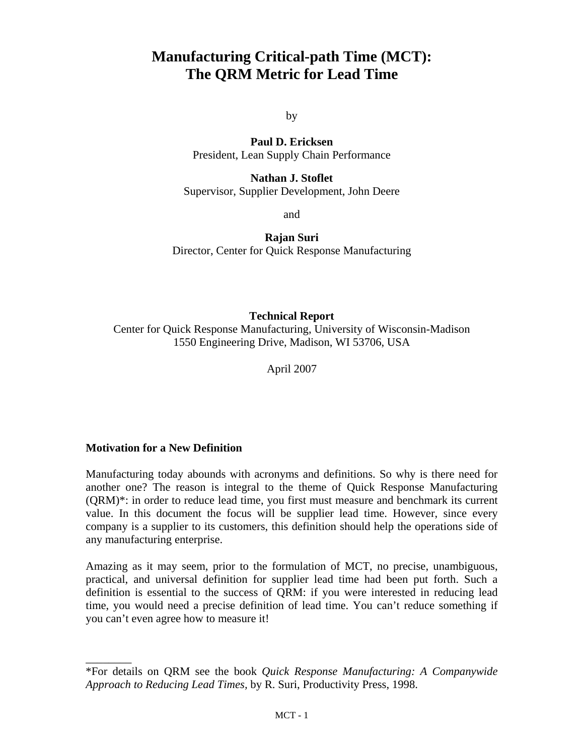# **Manufacturing Critical-path Time (MCT): The QRM Metric for Lead Time**

by

**Paul D. Ericksen**  President, Lean Supply Chain Performance

**Nathan J. Stoflet**  Supervisor, Supplier Development, John Deere

and

**Rajan Suri**  Director, Center for Quick Response Manufacturing

#### **Technical Report**

Center for Quick Response Manufacturing, University of Wisconsin-Madison 1550 Engineering Drive, Madison, WI 53706, USA

April 2007

#### **Motivation for a New Definition**

 $\overline{\phantom{a}}$   $\overline{\phantom{a}}$ 

Manufacturing today abounds with acronyms and definitions. So why is there need for another one? The reason is integral to the theme of Quick Response Manufacturing (QRM)\*: in order to reduce lead time, you first must measure and benchmark its current value. In this document the focus will be supplier lead time. However, since every company is a supplier to its customers, this definition should help the operations side of any manufacturing enterprise.

Amazing as it may seem, prior to the formulation of MCT, no precise, unambiguous, practical, and universal definition for supplier lead time had been put forth. Such a definition is essential to the success of QRM: if you were interested in reducing lead time, you would need a precise definition of lead time. You can't reduce something if you can't even agree how to measure it!

<sup>\*</sup>For details on QRM see the book *Quick Response Manufacturing: A Companywide Approach to Reducing Lead Times,* by R. Suri, Productivity Press, 1998.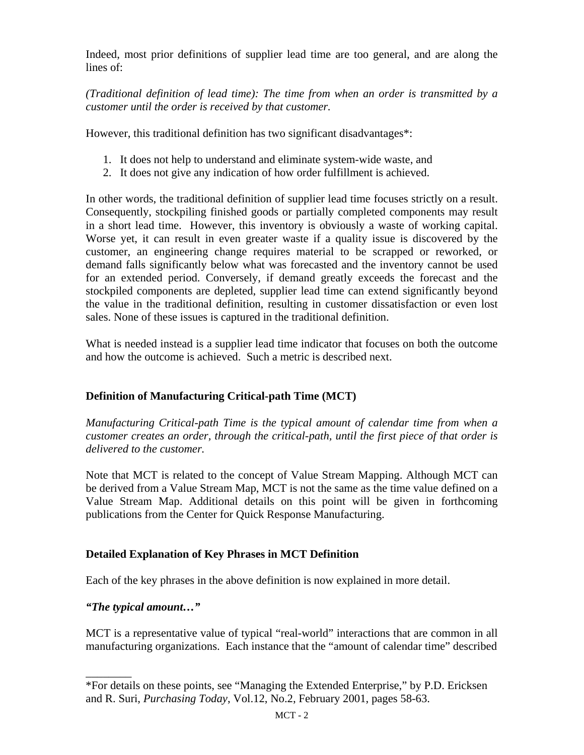Indeed, most prior definitions of supplier lead time are too general, and are along the lines of:

*(Traditional definition of lead time): The time from when an order is transmitted by a customer until the order is received by that customer.* 

However, this traditional definition has two significant disadvantages\*:

- 1. It does not help to understand and eliminate system-wide waste, and
- 2. It does not give any indication of how order fulfillment is achieved.

In other words, the traditional definition of supplier lead time focuses strictly on a result. Consequently, stockpiling finished goods or partially completed components may result in a short lead time. However, this inventory is obviously a waste of working capital. Worse yet, it can result in even greater waste if a quality issue is discovered by the customer, an engineering change requires material to be scrapped or reworked, or demand falls significantly below what was forecasted and the inventory cannot be used for an extended period. Conversely, if demand greatly exceeds the forecast and the stockpiled components are depleted, supplier lead time can extend significantly beyond the value in the traditional definition, resulting in customer dissatisfaction or even lost sales. None of these issues is captured in the traditional definition.

What is needed instead is a supplier lead time indicator that focuses on both the outcome and how the outcome is achieved. Such a metric is described next.

# **Definition of Manufacturing Critical-path Time (MCT)**

*Manufacturing Critical-path Time is the typical amount of calendar time from when a customer creates an order, through the critical-path, until the first piece of that order is delivered to the customer.* 

Note that MCT is related to the concept of Value Stream Mapping. Although MCT can be derived from a Value Stream Map, MCT is not the same as the time value defined on a Value Stream Map. Additional details on this point will be given in forthcoming publications from the Center for Quick Response Manufacturing.

# **Detailed Explanation of Key Phrases in MCT Definition**

Each of the key phrases in the above definition is now explained in more detail.

# *"The typical amount…"*

 $\overline{\phantom{a}}$   $\overline{\phantom{a}}$ 

MCT is a representative value of typical "real-world" interactions that are common in all manufacturing organizations. Each instance that the "amount of calendar time" described

<sup>\*</sup>For details on these points, see "Managing the Extended Enterprise," by P.D. Ericksen and R. Suri, *Purchasing Today*, Vol.12, No.2, February 2001, pages 58-63.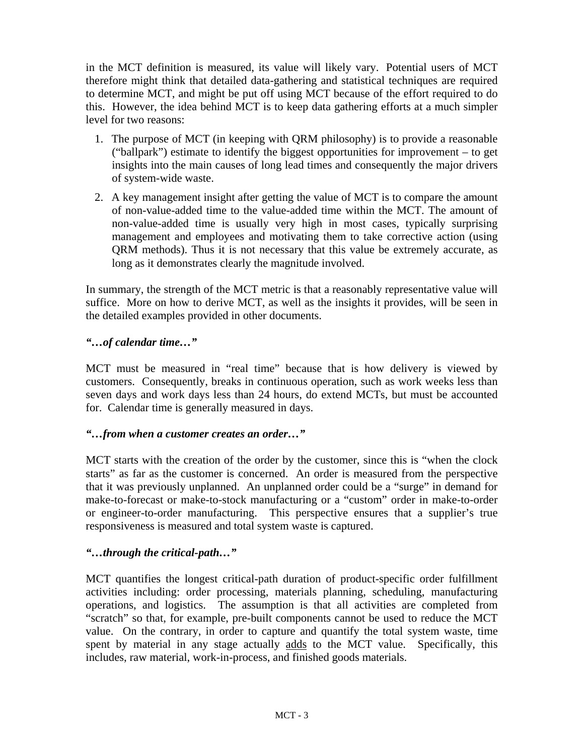in the MCT definition is measured, its value will likely vary. Potential users of MCT therefore might think that detailed data-gathering and statistical techniques are required to determine MCT, and might be put off using MCT because of the effort required to do this. However, the idea behind MCT is to keep data gathering efforts at a much simpler level for two reasons:

- 1. The purpose of MCT (in keeping with QRM philosophy) is to provide a reasonable ("ballpark") estimate to identify the biggest opportunities for improvement – to get insights into the main causes of long lead times and consequently the major drivers of system-wide waste.
- 2. A key management insight after getting the value of MCT is to compare the amount of non-value-added time to the value-added time within the MCT. The amount of non-value-added time is usually very high in most cases, typically surprising management and employees and motivating them to take corrective action (using QRM methods). Thus it is not necessary that this value be extremely accurate, as long as it demonstrates clearly the magnitude involved.

In summary, the strength of the MCT metric is that a reasonably representative value will suffice. More on how to derive MCT, as well as the insights it provides, will be seen in the detailed examples provided in other documents.

#### *"…of calendar time…"*

MCT must be measured in "real time" because that is how delivery is viewed by customers. Consequently, breaks in continuous operation, such as work weeks less than seven days and work days less than 24 hours, do extend MCTs, but must be accounted for. Calendar time is generally measured in days.

#### *"…from when a customer creates an order…"*

MCT starts with the creation of the order by the customer, since this is "when the clock starts" as far as the customer is concerned. An order is measured from the perspective that it was previously unplanned. An unplanned order could be a "surge" in demand for make-to-forecast or make-to-stock manufacturing or a "custom" order in make-to-order or engineer-to-order manufacturing. This perspective ensures that a supplier's true responsiveness is measured and total system waste is captured.

# *"…through the critical-path…"*

MCT quantifies the longest critical-path duration of product-specific order fulfillment activities including: order processing, materials planning, scheduling, manufacturing operations, and logistics. The assumption is that all activities are completed from "scratch" so that, for example, pre-built components cannot be used to reduce the MCT value. On the contrary, in order to capture and quantify the total system waste, time spent by material in any stage actually adds to the MCT value. Specifically, this includes, raw material, work-in-process, and finished goods materials.